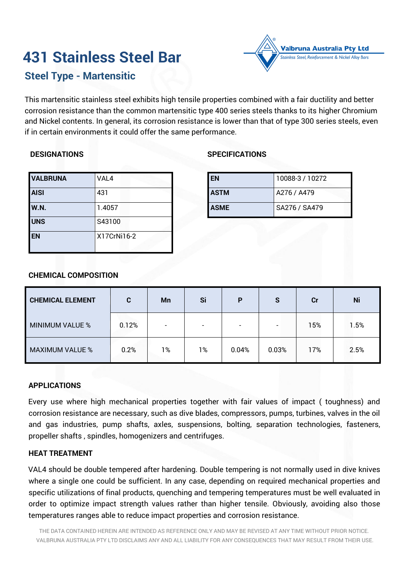# **431 Stainless Steel Bar**



# **Steel Type - Martensitic**

This martensitic stainless steel exhibits high tensile properties combined with a fair ductility and better corrosion resistance than the common martensitic type 400 series steels thanks to its higher Chromium and Nickel contents. In general, its corrosion resistance is lower than that of type 300 series steels, even if in certain environments it could offer the same performance.

# **DESIGNATIONS**

| <b>VALBRUNA</b> | VAL4        |
|-----------------|-------------|
| <b>AISI</b>     | 431         |
| <b>W.N.</b>     | 1.4057      |
| <b>UNS</b>      | S43100      |
| <b>EN</b>       | X17CrNi16-2 |

# **SPECIFICATIONS**

| <b>EN</b>   | 10088-3 / 10272 |
|-------------|-----------------|
| <b>ASTM</b> | A276 / A479     |
| <b>ASME</b> | SA276 / SA479   |

# **CHEMICAL COMPOSITION**

| <b>CHEMICAL ELEMENT</b> | C     | <b>Mn</b>                | Si                       | P                        | S                        | Cr  | Ni      |
|-------------------------|-------|--------------------------|--------------------------|--------------------------|--------------------------|-----|---------|
| MINIMUM VALUE %         | 0.12% | $\overline{\phantom{0}}$ | $\overline{\phantom{0}}$ | $\overline{\phantom{0}}$ | $\overline{\phantom{0}}$ | 15% | $1.5\%$ |
| <b>MAXIMUM VALUE %</b>  | 0.2%  | 1%                       | 1%                       | 0.04%                    | 0.03%                    | 17% | 2.5%    |

# **APPLICATIONS**

Every use where high mechanical properties together with fair values of impact ( toughness) and corrosion resistance are necessary, such as dive blades, compressors, pumps, turbines, valves in the oil and gas industries, pump shafts, axles, suspensions, bolting, separation technologies, fasteners, propeller shafts , spindles, homogenizers and centrifuges.

### **HEAT TREATMENT**

VAL4 should be double tempered after hardening. Double tempering is not normally used in dive knives where a single one could be sufficient. In any case, depending on required mechanical properties and specific utilizations of final products, quenching and tempering temperatures must be well evaluated in order to optimize impact strength values rather than higher tensile. Obviously, avoiding also those temperatures ranges able to reduce impact properties and corrosion resistance.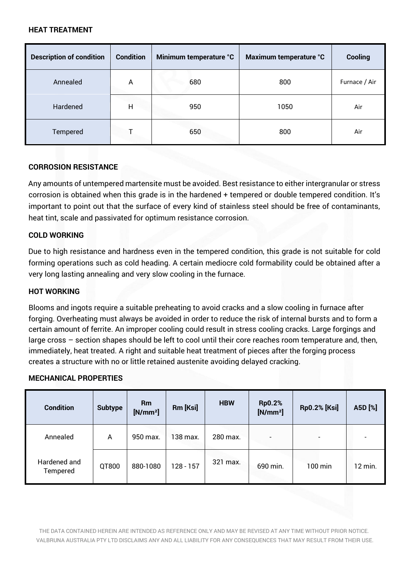## **HEAT TREATMENT**

| <b>Description of condition</b> | <b>Condition</b> | Minimum temperature °C | Maximum temperature °C | Cooling       |
|---------------------------------|------------------|------------------------|------------------------|---------------|
| Annealed                        | A                | 680                    | 800                    | Furnace / Air |
| Hardened                        | н                | 950                    | 1050                   | Air           |
| Tempered                        |                  | 650                    | 800                    | Air           |

# **CORROSION RESISTANCE**

Any amounts of untempered martensite must be avoided. Best resistance to either intergranular or stress corrosion is obtained when this grade is in the hardened + tempered or double tempered condition. It's important to point out that the surface of every kind of stainless steel should be free of contaminants, heat tint, scale and passivated for optimum resistance corrosion.

# **COLD WORKING**

Due to high resistance and hardness even in the tempered condition, this grade is not suitable for cold forming operations such as cold heading. A certain mediocre cold formability could be obtained after a very long lasting annealing and very slow cooling in the furnace.

### **HOT WORKING**

Blooms and ingots require a suitable preheating to avoid cracks and a slow cooling in furnace after forging. Overheating must always be avoided in order to reduce the risk of internal bursts and to form a certain amount of ferrite. An improper cooling could result in stress cooling cracks. Large forgings and large cross – section shapes should be left to cool until their core reaches room temperature and, then, immediately, heat treated. A right and suitable heat treatment of pieces after the forging process creates a structure with no or little retained austenite avoiding delayed cracking.

### **MECHANICAL PROPERTIES**

| <b>Condition</b>         | <b>Subtype</b> | <b>Rm</b><br>$[N/mm^2]$ | Rm [Ksi]    | <b>HBW</b> | <b>Rp0.2%</b><br>$[N/mm^2]$ | <b>Rp0.2% [Ksi]</b>      | A5D [%] |
|--------------------------|----------------|-------------------------|-------------|------------|-----------------------------|--------------------------|---------|
| Annealed                 | A              | 950 max.                | 138 max.    | 280 max.   | $\overline{\phantom{0}}$    | $\overline{\phantom{0}}$ | -       |
| Hardened and<br>Tempered | QT800          | 880-1080                | $128 - 157$ | 321 max.   | 690 min.                    | $100$ min                | 12 min. |

THE DATA CONTAINED HEREIN ARE INTENDED AS REFERENCE ONLY AND MAY BE REVISED AT ANY TIME WITHOUT PRIOR NOTICE. VALBRUNA AUSTRALIA PTY LTD DISCLAIMS ANY AND ALL LIABILITY FOR ANY CONSEQUENCES THAT MAY RESULT FROM THEIR USE.